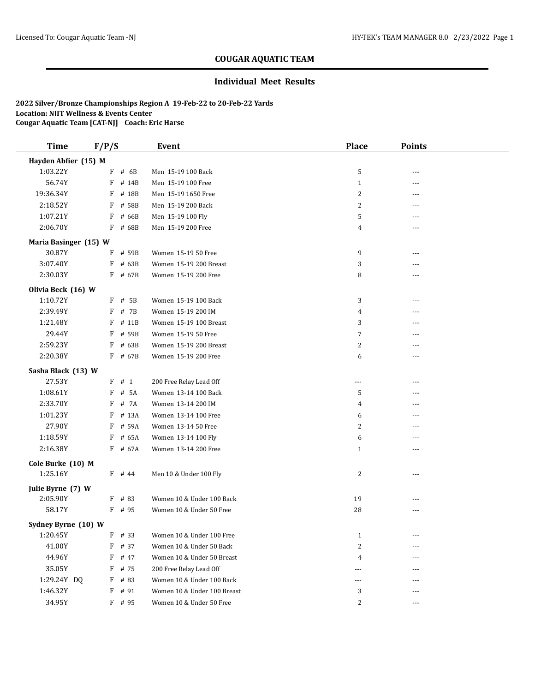### **Individual Meet Results**

| <b>Time</b>           | F/P/S      | <b>Event</b>                | <b>Place</b>   | <b>Points</b> |  |
|-----------------------|------------|-----------------------------|----------------|---------------|--|
| Hayden Abfier (15) M  |            |                             |                |               |  |
| 1:03.22Y              | $F$ # 6B   | Men 15-19 100 Back          | 5              |               |  |
| 56.74Y                | F<br># 14B | Men 15-19 100 Free          | $\mathbf{1}$   | ---           |  |
| 19:36.34Y             | # 18B<br>F | Men 15-19 1650 Free         | 2              |               |  |
| 2:18.52Y              | # 58B<br>F | Men 15-19 200 Back          | $\overline{c}$ | $---$         |  |
| 1:07.21Y              | # 66B<br>F | Men 15-19 100 Fly           | 5              | ---           |  |
| 2:06.70Y              | F<br># 68B | Men 15-19 200 Free          | 4              | ---           |  |
| Maria Basinger (15) W |            |                             |                |               |  |
| 30.87Y                | F<br># 59B | Women 15-19 50 Free         | 9              | $- - -$       |  |
| 3:07.40Y              | # 63B<br>F | Women 15-19 200 Breast      | 3              |               |  |
| 2:30.03Y              | F # 67B    | Women 15-19 200 Free        | 8              |               |  |
| Olivia Beck (16) W    |            |                             |                |               |  |
| 1:10.72Y              | # 5B<br>F  | Women 15-19 100 Back        | 3              | ---           |  |
| 2:39.49Y              | # 7B<br>F  | Women 15-19 200 IM          | 4              | $---$         |  |
| 1:21.48Y              | # 11B<br>F | Women 15-19 100 Breast      | 3              |               |  |
| 29.44Y                | F<br># 59B | Women 15-19 50 Free         | $\overline{7}$ |               |  |
| 2:59.23Y              | F<br># 63B | Women 15-19 200 Breast      | 2              | ---           |  |
| 2:20.38Y              | F # 67B    | Women 15-19 200 Free        | 6              |               |  |
| Sasha Black (13) W    |            |                             |                |               |  |
| 27.53Y                | $F$ # 1    | 200 Free Relay Lead Off     | ---            |               |  |
| 1:08.61Y              | F<br># 5A  | Women 13-14 100 Back        | 5              |               |  |
| 2:33.70Y              | # 7A<br>F  | Women 13-14 200 IM          | 4              | ---           |  |
| 1:01.23Y              | # 13A<br>F | Women 13-14 100 Free        | 6              | $---$         |  |
| 27.90Y                | F<br># 59A | Women 13-14 50 Free         | 2              | $---$         |  |
| 1:18.59Y              | # 65A<br>F | Women 13-14 100 Fly         | 6              |               |  |
| 2:16.38Y              | F # 67A    | Women 13-14 200 Free        | $\mathbf{1}$   | $- - -$       |  |
| Cole Burke (10) M     |            |                             |                |               |  |
| 1:25.16Y              | $F$ # 44   | Men 10 & Under 100 Fly      | 2              | $- - -$       |  |
| Julie Byrne (7) W     |            |                             |                |               |  |
| 2:05.90Y              | $F$ # 83   | Women 10 & Under 100 Back   | 19             | $---$         |  |
| 58.17Y                | $F$ # 95   | Women 10 & Under 50 Free    | 28             | ---           |  |
| Sydney Byrne (10) W   |            |                             |                |               |  |
| 1:20.45Y              | $F$ # 33   | Women 10 & Under 100 Free   | $\mathbf{1}$   |               |  |
| 41.00Y                | # 37<br>F  | Women 10 & Under 50 Back    | 2              | $---$         |  |
| 44.96Y                | # 47<br>F  | Women 10 & Under 50 Breast  | 4              |               |  |
| 35.05Y                | # 75<br>F  | 200 Free Relay Lead Off     | $---$          |               |  |
| 1:29.24Y DQ           | F<br># 83  | Women 10 & Under 100 Back   | $\cdots$       |               |  |
| 1:46.32Y              | # 91<br>F  | Women 10 & Under 100 Breast | 3              |               |  |
| 34.95Y                | F # 95     | Women 10 & Under 50 Free    | 2              | $---$         |  |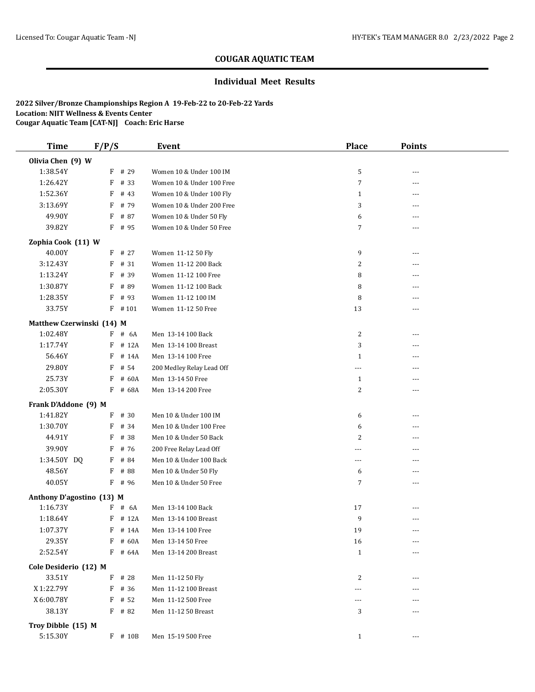#### **Individual Meet Results**

| <b>Time</b>               | F/P/S |           | Event                     | <b>Place</b>   | <b>Points</b> |  |
|---------------------------|-------|-----------|---------------------------|----------------|---------------|--|
| Olivia Chen (9) W         |       |           |                           |                |               |  |
| 1:38.54Y                  |       | F # 29    | Women 10 & Under 100 IM   | 5              | ---           |  |
| 1:26.42Y                  | F     | # 33      | Women 10 & Under 100 Free | $\overline{7}$ | ---           |  |
| 1:52.36Y                  | F     | # 43      | Women 10 & Under 100 Fly  | $\mathbf{1}$   | $---$         |  |
| 3:13.69Y                  |       | F # 79    | Women 10 & Under 200 Free | 3              | ---           |  |
| 49.90Y                    |       | F # 87    | Women 10 & Under 50 Fly   | 6              |               |  |
| 39.82Y                    |       | $F$ # 95  | Women 10 & Under 50 Free  | 7              | $---$         |  |
| Zophia Cook (11) W        |       |           |                           |                |               |  |
| 40.00Y                    |       | $F$ # 27  | Women 11-12 50 Fly        | 9              |               |  |
| 3:12.43Y                  |       | F # 31    | Women 11-12 200 Back      | 2              |               |  |
| 1:13.24Y                  | F     | # 39      | Women 11-12 100 Free      | 8              | ---           |  |
| 1:30.87Y                  | F     | # 89      | Women 11-12 100 Back      | 8              | ---           |  |
| 1:28.35Y                  | F     | # 93      | Women 11-12 100 IM        | 8              | $---$         |  |
| 33.75Y                    | F     | #101      | Women 11-12 50 Free       | 13             | ---           |  |
| Matthew Czerwinski (14) M |       |           |                           |                |               |  |
| 1:02.48Y                  |       | $F$ # 6A  | Men 13-14 100 Back        | $\overline{c}$ | ---           |  |
| 1:17.74Y                  | F     | # 12A     | Men 13-14 100 Breast      | 3              |               |  |
| 56.46Y                    | F     | # 14A     | Men 13-14 100 Free        | $\mathbf{1}$   |               |  |
| 29.80Y                    | F     | # 54      | 200 Medley Relay Lead Off | ---            |               |  |
| 25.73Y                    | F     | # 60A     | Men 13-14 50 Free         | $\mathbf{1}$   | ---           |  |
| 2:05.30Y                  |       | F # 68A   | Men 13-14 200 Free        | 2              | ---           |  |
| Frank D'Addone (9) M      |       |           |                           |                |               |  |
| 1:41.82Y                  |       | $F$ # 30  | Men 10 & Under 100 IM     | 6              | ---           |  |
| 1:30.70Y                  | F     | # 34      | Men 10 & Under 100 Free   | 6              |               |  |
| 44.91Y                    | F     | # 38      | Men 10 & Under 50 Back    | 2              | ---           |  |
| 39.90Y                    | F     | # 76      | 200 Free Relay Lead Off   | ---            |               |  |
| 1:34.50Y DQ               | F     | # 84      | Men 10 & Under 100 Back   | ---            |               |  |
| 48.56Y                    | F     | # 88      | Men 10 & Under 50 Fly     | 6              | ---           |  |
| 40.05Y                    |       | $F$ # 96  | Men 10 & Under 50 Free    | 7              | $---$         |  |
| Anthony D'agostino (13) M |       |           |                           |                |               |  |
| 1:16.73Y                  |       | $F$ # 6A  | Men 13-14 100 Back        | 17             | ---           |  |
| 1:18.64Y                  |       | $F$ # 12A | Men 13-14 100 Breast      | 9              |               |  |
| 1:07.37Y                  |       | F # 14A   | Men 13-14 100 Free        | 19             | $- - -$       |  |
| 29.35Y                    |       | F # 60A   | Men 13-14 50 Free         | 16             | ---           |  |
| 2:52.54Y                  |       | $F$ # 64A | Men 13-14 200 Breast      | $\mathbf{1}$   | ---           |  |
| Cole Desiderio (12) M     |       |           |                           |                |               |  |
| 33.51Y                    |       | $F$ # 28  | Men 11-12 50 Fly          | 2              | ---           |  |
| X 1:22.79Y                |       | $F$ # 36  | Men 11-12 100 Breast      | ---            | ---           |  |
| X 6:00.78Y                |       | $F$ # 52  | Men 11-12 500 Free        |                |               |  |
| 38.13Y                    |       | $F$ # 82  | Men 11-12 50 Breast       | 3              |               |  |
| Troy Dibble (15) M        |       |           |                           |                |               |  |
| 5:15.30Y                  |       | F # 10B   | Men 15-19 500 Free        | $\mathbf{1}$   |               |  |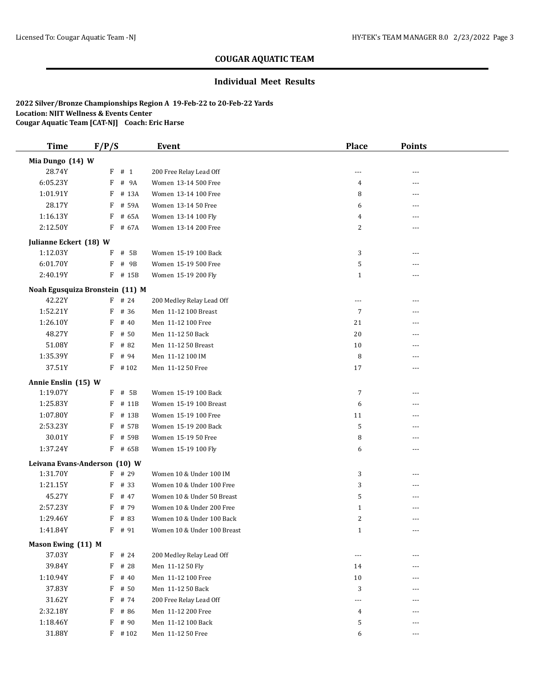### **Individual Meet Results**

| <b>Time</b>                     | F/P/S    | Event                              | <b>Place</b>   | <b>Points</b> |  |
|---------------------------------|----------|------------------------------------|----------------|---------------|--|
| Mia Dungo (14) W                |          |                                    |                |               |  |
| 28.74Y                          | $F$ # 1  | 200 Free Relay Lead Off            | ---            | ---           |  |
| 6:05.23Y                        | F        | # 9A<br>Women 13-14 500 Free       | 4              | ---           |  |
| 1:01.91Y                        |          | F # 13A<br>Women 13-14 100 Free    | 8              | $---$         |  |
| 28.17Y                          |          | F # 59A<br>Women 13-14 50 Free     | 6              | ---           |  |
| 1:16.13Y                        |          | $F$ # 65A<br>Women 13-14 100 Fly   | 4              |               |  |
| 2:12.50Y                        |          | F # 67A<br>Women 13-14 200 Free    | 2              | $---$         |  |
| Julianne Eckert (18) W          |          |                                    |                |               |  |
| 1:12.03Y                        |          | F # 5B<br>Women 15-19 100 Back     | 3              |               |  |
| 6:01.70Y                        | F        | Women 15-19 500 Free<br># 9B       | 5              |               |  |
| 2:40.19Y                        |          | Women 15-19 200 Fly<br>$F$ # 15B   | $\mathbf{1}$   | $- - -$       |  |
| Noah Egusquiza Bronstein (11) M |          |                                    |                |               |  |
| 42.22Y                          | $F$ # 24 | 200 Medley Relay Lead Off          | ---            | $---$         |  |
| 1:52.21Y                        | F        | # 36<br>Men 11-12 100 Breast       | $\overline{7}$ | ---           |  |
| 1:26.10Y                        | F        | # 40<br>Men 11-12 100 Free         | 21             | ---           |  |
| 48.27Y                          | F        | # 50<br>Men 11-12 50 Back          | 20             |               |  |
| 51.08Y                          | F        | # 82<br>Men 11-12 50 Breast        | 10             |               |  |
| 1:35.39Y                        | F        | # 94<br>Men 11-12 100 IM           | 8              |               |  |
| 37.51Y                          |          | $F$ #102<br>Men 11-12 50 Free      | 17             | ---           |  |
| Annie Enslin (15) W             |          |                                    |                |               |  |
| 1:19.07Y                        |          | $F$ # 5B<br>Women 15-19 100 Back   | 7              | ---           |  |
| 1:25.83Y                        |          | F # 11B<br>Women 15-19 100 Breast  | 6              | $---$         |  |
| 1:07.80Y                        |          | F # 13B<br>Women 15-19 100 Free    | 11             | ---           |  |
| 2:53.23Y                        |          | F # 57B<br>Women 15-19 200 Back    | 5              |               |  |
| 30.01Y                          | F        | # 59B<br>Women 15-19 50 Free       | 8              |               |  |
| 1:37.24Y                        |          | F # 65B<br>Women 15-19 100 Fly     | 6              | ---           |  |
| Leivana Evans-Anderson (10) W   |          |                                    |                |               |  |
| 1:31.70Y                        | $F$ # 29 | Women 10 & Under 100 IM            | 3              |               |  |
| 1:21.15Y                        | $F$ # 33 | Women 10 & Under 100 Free          | 3              | $---$         |  |
| 45.27Y                          | F        | # 47<br>Women 10 & Under 50 Breast | 5              | ---           |  |
| 2:57.23Y                        | F        | # 79<br>Women 10 & Under 200 Free  | $\mathbf{1}$   | $---$         |  |
| 1:29.46Y                        | F        | # 83<br>Women 10 & Under 100 Back  | 2              |               |  |
| 1:41.84Y                        | F # 91   | Women 10 & Under 100 Breast        | $\mathbf{1}$   | $- - -$       |  |
| Mason Ewing (11) M              |          |                                    |                |               |  |
| 37.03Y                          | $F$ # 24 | 200 Medley Relay Lead Off          | $\cdots$       | ---           |  |
| 39.84Y                          | F # 28   | Men 11-12 50 Fly                   | 14             | $---$         |  |
| 1:10.94Y                        | F        | # 40<br>Men 11-12 100 Free         | 10             |               |  |
| 37.83Y                          | $F$ # 50 | Men 11-12 50 Back                  | 3              | ---           |  |
| 31.62Y                          | F        | # 74<br>200 Free Relay Lead Off    | ---            |               |  |
| 2:32.18Y                        | F        | # 86<br>Men 11-12 200 Free         | 4              |               |  |
| 1:18.46Y                        | F        | # 90<br>Men 11-12 100 Back         | 5              |               |  |
| 31.88Y                          |          | Men 11-12 50 Free<br>$F$ # 102     | 6              | ---           |  |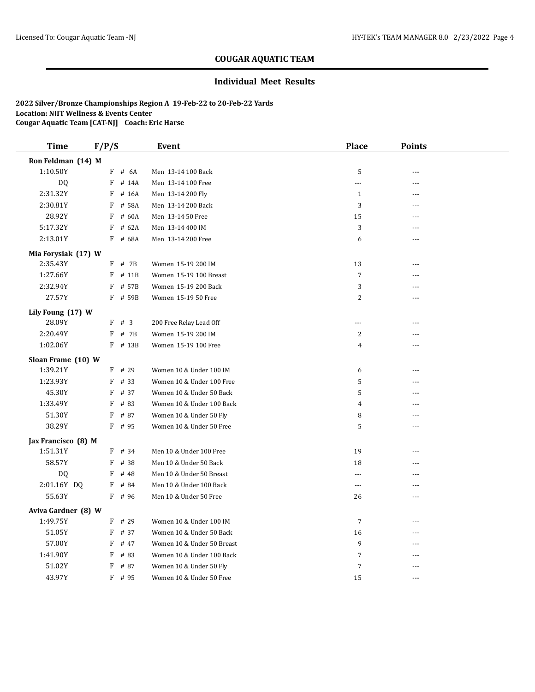### **Individual Meet Results**

| <b>Time</b>         | F/P/S      | Event                      | <b>Place</b>   | <b>Points</b>  |  |
|---------------------|------------|----------------------------|----------------|----------------|--|
| Ron Feldman (14) M  |            |                            |                |                |  |
| 1:10.50Y            | F<br># 6A  | Men 13-14 100 Back         | 5              | $\overline{a}$ |  |
| DQ                  | $F$ # 14A  | Men 13-14 100 Free         | ---            | ---            |  |
| 2:31.32Y            | F<br># 16A | Men 13-14 200 Fly          | $\mathbf{1}$   | ---            |  |
| 2:30.81Y            | F<br># 58A | Men 13-14 200 Back         | 3              | ---            |  |
| 28.92Y              | F<br># 60A | Men 13-14 50 Free          | 15             |                |  |
| 5:17.32Y            | # 62A<br>F | Men 13-14 400 IM           | 3              | ---            |  |
| 2:13.01Y            | F # 68A    | Men 13-14 200 Free         | 6              | ---            |  |
| Mia Forysiak (17) W |            |                            |                |                |  |
| 2:35.43Y            | $F$ # 7B   | Women 15-19 200 IM         | 13             | ---            |  |
| 1:27.66Y            | $F$ # 11B  | Women 15-19 100 Breast     | $\overline{7}$ | ---            |  |
| 2:32.94Y            | F # 57B    | Women 15-19 200 Back       | 3              | ---            |  |
| 27.57Y              | $F$ # 59B  | Women 15-19 50 Free        | $\overline{2}$ | ---            |  |
| Lily Foung (17) W   |            |                            |                |                |  |
| 28.09Y              | F # 3      | 200 Free Relay Lead Off    | ---            | ---            |  |
| 2:20.49Y            | $F$ # 7B   | Women 15-19 200 IM         | $\overline{c}$ | ---            |  |
| 1:02.06Y            | $F$ # 13B  | Women 15-19 100 Free       | 4              | ---            |  |
| Sloan Frame (10) W  |            |                            |                |                |  |
| 1:39.21Y            | $F$ # 29   | Women 10 & Under 100 IM    | 6              | ---            |  |
| 1:23.93Y            | F<br># 33  | Women 10 & Under 100 Free  | 5              | ---            |  |
| 45.30Y              | $F$ # 37   | Women 10 & Under 50 Back   | 5              | ---            |  |
| 1:33.49Y            | F<br># 83  | Women 10 & Under 100 Back  | 4              | ---            |  |
| 51.30Y              | $F$ # 87   | Women 10 & Under 50 Fly    | 8              |                |  |
| 38.29Y              | $F$ # 95   | Women 10 & Under 50 Free   | 5              | ---            |  |
| Jax Francisco (8) M |            |                            |                |                |  |
| 1:51.31Y            | $F$ # 34   | Men 10 & Under 100 Free    | 19             | ---            |  |
| 58.57Y              | $F$ # 38   | Men 10 & Under 50 Back     | 18             | ---            |  |
| DQ                  | F<br># 48  | Men 10 & Under 50 Breast   | ---            |                |  |
| 2:01.16Y DQ         | $F$ # 84   | Men 10 & Under 100 Back    | $---$          | ---            |  |
| 55.63Y              | $F$ # 96   | Men 10 & Under 50 Free     | 26             | ---            |  |
| Aviva Gardner (8) W |            |                            |                |                |  |
| 1:49.75Y            | $F$ # 29   | Women 10 & Under 100 IM    | $\overline{7}$ | ---            |  |
| 51.05Y              | $F$ # 37   | Women 10 & Under 50 Back   | 16             |                |  |
| 57.00Y              | F<br># 47  | Women 10 & Under 50 Breast | 9              | ---            |  |
| 1:41.90Y            | # 83<br>F  | Women 10 & Under 100 Back  | 7              | ---            |  |
| 51.02Y              | F<br># 87  | Women 10 & Under 50 Fly    | 7              | ---            |  |
| 43.97Y              | F # 95     | Women 10 & Under 50 Free   | 15             | $\overline{a}$ |  |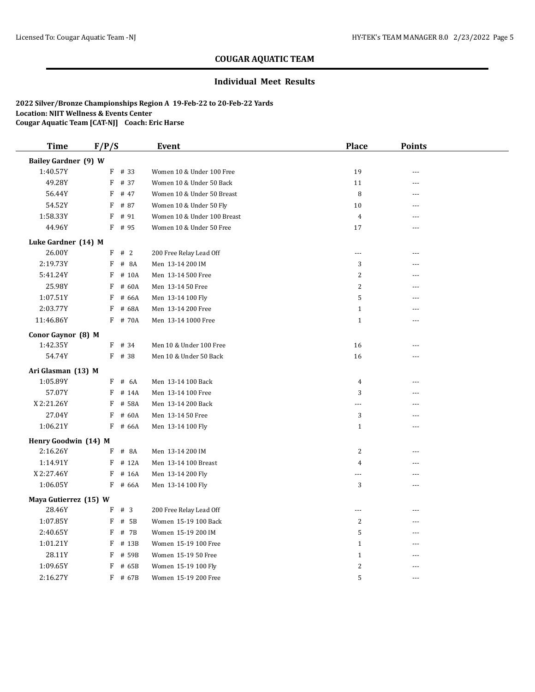### **Individual Meet Results**

| <b>Time</b>                 | F/P/S     | Event                               | <b>Place</b>             | <b>Points</b>  |
|-----------------------------|-----------|-------------------------------------|--------------------------|----------------|
| <b>Bailey Gardner</b> (9) W |           |                                     |                          |                |
| 1:40.57Y                    | $F$ # 33  | Women 10 & Under 100 Free           | 19                       | $\overline{a}$ |
| 49.28Y                      | $F$ # 37  | Women 10 & Under 50 Back            | 11                       | ---            |
| 56.44Y                      | F         | # 47<br>Women 10 & Under 50 Breast  | 8                        | ---            |
| 54.52Y                      | F         | # 87<br>Women 10 & Under 50 Fly     | 10                       | ---            |
| 1:58.33Y                    | F         | # 91<br>Women 10 & Under 100 Breast | 4                        |                |
| 44.96Y                      | $F$ # 95  | Women 10 & Under 50 Free            | 17                       | ---            |
| Luke Gardner (14) M         |           |                                     |                          |                |
| 26.00Y                      | F # 2     | 200 Free Relay Lead Off             | $\overline{a}$           | $\sim$ $\sim$  |
| 2:19.73Y                    | F         | # 8A<br>Men 13-14 200 IM            | 3                        | $\overline{a}$ |
| 5:41.24Y                    | F         | # 10A<br>Men 13-14 500 Free         | 2                        | ---            |
| 25.98Y                      | F         | # 60A<br>Men 13-14 50 Free          | $\overline{c}$           | ---            |
| 1:07.51Y                    | F         | # 66A<br>Men 13-14 100 Fly          | 5                        | ---            |
| 2:03.77Y                    | F         | # 68A<br>Men 13-14 200 Free         | $\mathbf{1}$             |                |
| 11:46.86Y                   | F # 70A   | Men 13-14 1000 Free                 | $\mathbf{1}$             | ---            |
| Conor Gaynor (8) M          |           |                                     |                          |                |
| 1:42.35Y                    | $F$ # 34  | Men 10 & Under 100 Free             | 16                       | ---            |
| 54.74Y                      | $F$ # 38  | Men 10 & Under 50 Back              | 16                       |                |
| Ari Glasman (13) M          |           |                                     |                          |                |
| 1:05.89Y                    | F # 6A    | Men 13-14 100 Back                  | 4                        | $- - -$        |
| 57.07Y                      | F         | # 14A<br>Men 13-14 100 Free         | 3                        | ---            |
| X 2:21.26Y                  | F         | # 58A<br>Men 13-14 200 Back         | $\cdots$                 |                |
| 27.04Y                      | F         | # 60A<br>Men 13-14 50 Free          | 3                        | $- - -$        |
| 1:06.21Y                    | F         | # 66A<br>Men 13-14 100 Fly          | $\mathbf{1}$             | $- - -$        |
| Henry Goodwin (14) M        |           |                                     |                          |                |
| 2:16.26Y                    | $F$ # 8A  | Men 13-14 200 IM                    | $\overline{c}$           | ---            |
| 1:14.91Y                    | $F$ # 12A | Men 13-14 100 Breast                | 4                        | ---            |
| X 2:27.46Y                  | F         | # 16A<br>Men 13-14 200 Fly          | $---$                    | ---            |
| 1:06.05Y                    | F         | # 66A<br>Men 13-14 100 Fly          | 3                        | $- - -$        |
| Maya Gutierrez (15) W       |           |                                     |                          |                |
| 28.46Y                      | #3<br>F   | 200 Free Relay Lead Off             | $\overline{\phantom{a}}$ | ---            |
| 1:07.85Y                    | F         | # 5B<br>Women 15-19 100 Back        | 2                        | $\overline{a}$ |
| 2:40.65Y                    | F         | # 7B<br>Women 15-19 200 IM          | 5                        | $\sim$ $\sim$  |
| 1:01.21Y                    | F         | # 13B<br>Women 15-19 100 Free       | $\mathbf{1}$             | $- - -$        |
| 28.11Y                      | F         | # 59B<br>Women 15-19 50 Free        | $\mathbf{1}$             | ---            |
| 1:09.65Y                    | F         | # 65B<br>Women 15-19 100 Fly        | $\sqrt{2}$               | ---            |
| 2:16.27Y                    | F # 67B   | Women 15-19 200 Free                | 5                        | $- - -$        |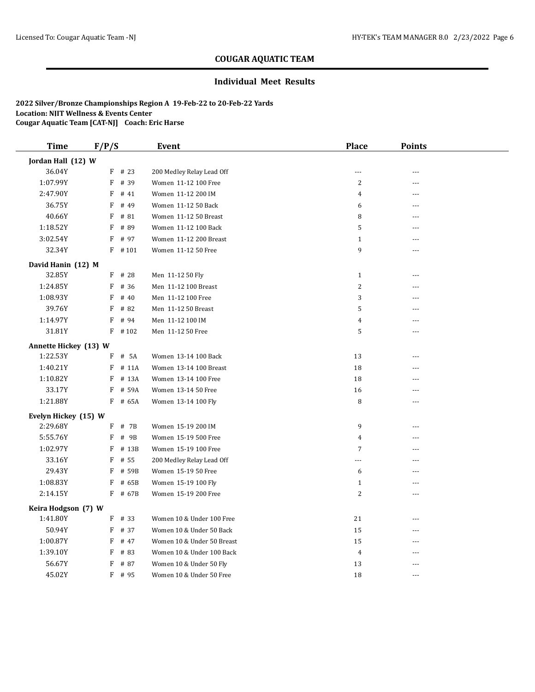#### **Individual Meet Results**

| <b>Time</b>           | F/P/S       |           | Event                      | <b>Place</b>   | <b>Points</b>  |  |
|-----------------------|-------------|-----------|----------------------------|----------------|----------------|--|
| Jordan Hall (12) W    |             |           |                            |                |                |  |
| 36.04Y                |             | $F$ # 23  | 200 Medley Relay Lead Off  | $---$          | $---$          |  |
| 1:07.99Y              | F           | # 39      | Women 11-12 100 Free       | $\overline{c}$ | ---            |  |
| 2:47.90Y              | F           | # 41      | Women 11-12 200 IM         | 4              | ---            |  |
| 36.75Y                | F           | # 49      | Women 11-12 50 Back        | 6              | ---            |  |
| 40.66Y                | F           | # 81      | Women 11-12 50 Breast      | 8              | ---            |  |
| 1:18.52Y              | F           | # 89      | Women 11-12 100 Back       | 5              |                |  |
| 3:02.54Y              | F           | # 97      | Women 11-12 200 Breast     | $\mathbf{1}$   | $- - -$        |  |
| 32.34Y                |             | $F$ #101  | Women 11-12 50 Free        | 9              | $- - -$        |  |
| David Hanin (12) M    |             |           |                            |                |                |  |
| 32.85Y                |             | $F$ # 28  | Men 11-12 50 Fly           | $\mathbf{1}$   | $\overline{a}$ |  |
| 1:24.85Y              | F           | # 36      | Men 11-12 100 Breast       | 2              | ---            |  |
| 1:08.93Y              | F           | # 40      | Men 11-12 100 Free         | 3              | ---            |  |
| 39.76Y                | F           | # 82      | Men 11-12 50 Breast        | 5              | ---            |  |
| 1:14.97Y              | $\mathbf F$ | # 94      | Men 11-12 100 IM           | $\overline{4}$ |                |  |
| 31.81Y                |             | $F$ # 102 | Men 11-12 50 Free          | 5              | $---$          |  |
| Annette Hickey (13) W |             |           |                            |                |                |  |
| 1:22.53Y              |             | $F$ # 5A  | Women 13-14 100 Back       | 13             | $- - -$        |  |
| 1:40.21Y              |             | $F$ # 11A | Women 13-14 100 Breast     | 18             | ---            |  |
| 1:10.82Y              |             | $F$ # 13A | Women 13-14 100 Free       | 18             |                |  |
| 33.17Y                |             | $F$ # 59A | Women 13-14 50 Free        | 16             | ---            |  |
| 1:21.88Y              |             | F # 65A   | Women 13-14 100 Fly        | 8              | ---            |  |
| Evelyn Hickey (15) W  |             |           |                            |                |                |  |
| 2:29.68Y              |             | $F$ # 7B  | Women 15-19 200 IM         | 9              | ---            |  |
| 5:55.76Y              | F           | # 9B      | Women 15-19 500 Free       | 4              |                |  |
| 1:02.97Y              | F           | # 13B     | Women 15-19 100 Free       | $\overline{7}$ | $- - -$        |  |
| 33.16Y                | F           | # 55      | 200 Medley Relay Lead Off  | ---            |                |  |
| 29.43Y                | F           | # 59B     | Women 15-19 50 Free        | 6              | ---            |  |
| 1:08.83Y              | F           | # 65B     | Women 15-19 100 Fly        | $\mathbf{1}$   | $- - -$        |  |
| 2:14.15Y              |             | $F$ # 67B | Women 15-19 200 Free       | $\overline{c}$ | $\overline{a}$ |  |
| Keira Hodgson (7) W   |             |           |                            |                |                |  |
| 1:41.80Y              |             | $F$ # 33  | Women 10 & Under 100 Free  | 21             | ---            |  |
| 50.94Y                | F           | # 37      | Women 10 & Under 50 Back   | 15             | ---            |  |
| 1:00.87Y              | F           | # 47      | Women 10 & Under 50 Breast | 15             | $- - -$        |  |
| 1:39.10Y              | F           | # 83      | Women 10 & Under 100 Back  | $\overline{4}$ | $\overline{a}$ |  |
| 56.67Y                | F           | # 87      | Women 10 & Under 50 Fly    | 13             | ---            |  |
| 45.02Y                |             | F # 95    | Women 10 & Under 50 Free   | 18             | $- - -$        |  |
|                       |             |           |                            |                |                |  |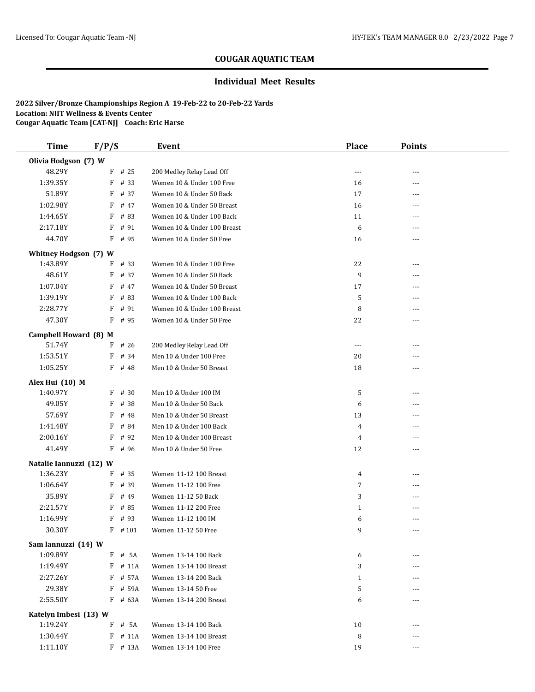### **Individual Meet Results**

| <b>Time</b>                       | F/P/S |           | Event                       | <b>Place</b>   | <b>Points</b> |  |
|-----------------------------------|-------|-----------|-----------------------------|----------------|---------------|--|
| Olivia Hodgson (7) W              |       |           |                             |                |               |  |
| 48.29Y                            | F     | # 25      | 200 Medley Relay Lead Off   | ---            | ---           |  |
| 1:39.35Y                          | F     | # 33      | Women 10 & Under 100 Free   | 16             | ---           |  |
| 51.89Y                            | F     | # 37      | Women 10 & Under 50 Back    | 17             | ---           |  |
| 1:02.98Y                          | F     | # 47      | Women 10 & Under 50 Breast  | 16             | ---           |  |
| 1:44.65Y                          | F     | # 83      | Women 10 & Under 100 Back   | 11             | ---           |  |
| 2:17.18Y                          | F     | # 91      | Women 10 & Under 100 Breast | 6              | ---           |  |
| 44.70Y                            |       | F # 95    | Women 10 & Under 50 Free    | 16             | ---           |  |
| Whitney Hodgson (7) W             |       |           |                             |                |               |  |
| 1:43.89Y                          |       | $F$ # 33  | Women 10 & Under 100 Free   | 22             |               |  |
| 48.61Y                            | F     | # 37      | Women 10 & Under 50 Back    | 9              | ---           |  |
| 1:07.04Y                          | F     | # 47      | Women 10 & Under 50 Breast  | 17             | ---           |  |
| 1:39.19Y                          | F     | # 83      | Women 10 & Under 100 Back   | 5              | ---           |  |
| 2:28.77Y                          | F     | # 91      | Women 10 & Under 100 Breast | 8              | ---           |  |
| 47.30Y                            |       | $F$ # 95  | Women 10 & Under 50 Free    | 22             | ---           |  |
| Campbell Howard (8) M             |       |           |                             |                |               |  |
| 51.74Y                            | F     | # 26      | 200 Medley Relay Lead Off   | ---            | ---           |  |
| 1:53.51Y                          | F     | # 34      | Men 10 & Under 100 Free     | 20             | ---           |  |
| 1:05.25Y                          |       | $F$ # 48  | Men 10 & Under 50 Breast    | 18             | ---           |  |
| Alex Hui (10) M                   |       |           |                             |                |               |  |
| 1:40.97Y                          | F     | # 30      | Men 10 & Under 100 IM       | 5              | ---           |  |
| 49.05Y                            | F     | # 38      | Men 10 & Under 50 Back      | 6              | ---           |  |
| 57.69Y                            | F     | # 48      | Men 10 & Under 50 Breast    | 13             | ---           |  |
| 1:41.48Y                          | F     | # 84      | Men 10 & Under 100 Back     | $\overline{4}$ |               |  |
| 2:00.16Y                          | F     | # 92      | Men 10 & Under 100 Breast   | 4              | ---           |  |
| 41.49Y                            |       | F # 96    | Men 10 & Under 50 Free      | 12             | ---           |  |
| Natalie Iannuzzi (12) W           |       |           |                             |                |               |  |
| 1:36.23Y                          |       | $F$ # 35  | Women 11-12 100 Breast      | 4              |               |  |
| 1:06.64Y                          | F     | # 39      | Women 11-12 100 Free        | 7              | ---           |  |
| 35.89Y                            | F     | # 49      | Women 11-12 50 Back         | 3              | ---           |  |
| 2:21.57Y                          | F     | # 85      | Women 11-12 200 Free        | $\mathbf{1}$   | ---           |  |
| 1:16.99Y                          | F     | # 93      | Women 11-12 100 IM          | 6              | ---           |  |
| 30.30Y                            |       | $F$ #101  | Women 11-12 50 Free         | 9              | ---           |  |
| Sam Iannuzzi (14) W               |       |           |                             |                |               |  |
| 1:09.89Y                          |       | F # 5A    | Women 13-14 100 Back        | 6              |               |  |
| 1:19.49Y                          |       | $F$ # 11A | Women 13-14 100 Breast      | 3              | ---           |  |
| 2:27.26Y                          |       | F # 57A   | Women 13-14 200 Back        | $\mathbf{1}$   |               |  |
| 29.38Y                            |       | F # 59A   | Women 13-14 50 Free         | 5              | ---           |  |
| 2:55.50Y                          |       | F # 63A   | Women 13-14 200 Breast      | 6              | ---           |  |
|                                   |       |           |                             |                |               |  |
| Katelyn Imbesi (13) W<br>1:19.24Y |       |           |                             |                |               |  |
|                                   |       | $F$ # 5A  | Women 13-14 100 Back        | 10             |               |  |
| 1:30.44Y                          |       | $F$ # 11A | Women 13-14 100 Breast      | 8              |               |  |
| 1:11.10Y                          |       | F # 13A   | Women 13-14 100 Free        | 19             | ---           |  |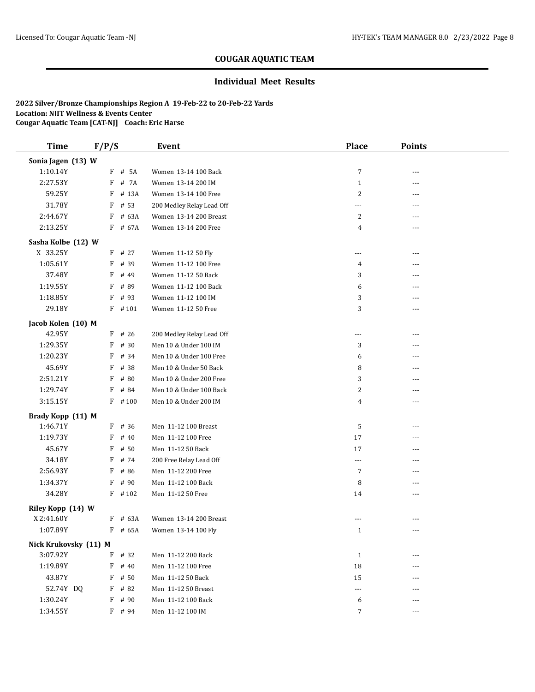### **Individual Meet Results**

| <b>Time</b>           | F/P/S |           | <b>Event</b>              | Place          | <b>Points</b> |  |
|-----------------------|-------|-----------|---------------------------|----------------|---------------|--|
| Sonia Jagen (13) W    |       |           |                           |                |               |  |
| 1:10.14Y              |       | F # 5A    | Women 13-14 100 Back      | 7              | $- - -$       |  |
| 2:27.53Y              | F     | # 7A      | Women 13-14 200 IM        | $\mathbf{1}$   | ---           |  |
| 59.25Y                | F     | # 13A     | Women 13-14 100 Free      | $\sqrt{2}$     | ---           |  |
| 31.78Y                | F     | # 53      | 200 Medley Relay Lead Off | ---            | ---           |  |
| 2:44.67Y              | F     | # 63A     | Women 13-14 200 Breast    | 2              |               |  |
| 2:13.25Y              |       | F # 67A   | Women 13-14 200 Free      | 4              | $---$         |  |
| Sasha Kolbe (12) W    |       |           |                           |                |               |  |
| X 33.25Y              |       | $F$ # 27  | Women 11-12 50 Fly        | $\sim$ $\sim$  | $- - -$       |  |
| 1:05.61Y              | F     | # 39      | Women 11-12 100 Free      | $\overline{4}$ |               |  |
| 37.48Y                | F     | # 49      | Women 11-12 50 Back       | 3              | ---           |  |
| 1:19.55Y              | F     | # 89      | Women 11-12 100 Back      | 6              | ---           |  |
| 1:18.85Y              | F     | # 93      | Women 11-12 100 IM        | 3              |               |  |
| 29.18Y                | F     | #101      | Women 11-12 50 Free       | 3              | $---$         |  |
| Jacob Kolen (10) M    |       |           |                           |                |               |  |
| 42.95Y                |       | $F$ # 26  | 200 Medley Relay Lead Off | ---            | ---           |  |
| 1:29.35Y              | F     | # 30      | Men 10 & Under 100 IM     | 3              | ---           |  |
| 1:20.23Y              | F     | # 34      | Men 10 & Under 100 Free   | 6              | ---           |  |
| 45.69Y                | F     | # 38      | Men 10 & Under 50 Back    | 8              |               |  |
| 2:51.21Y              | F     | # 80      | Men 10 & Under 200 Free   | 3              | ---           |  |
| 1:29.74Y              | F     | # 84      | Men 10 & Under 100 Back   | $\sqrt{2}$     | ---           |  |
| 3:15.15Y              |       | $F$ # 100 | Men 10 & Under 200 IM     | 4              | ---           |  |
| Brady Kopp (11) M     |       |           |                           |                |               |  |
| 1:46.71Y              |       | $F$ # 36  | Men 11-12 100 Breast      | 5              | ---           |  |
| 1:19.73Y              | F     | # 40      | Men 11-12 100 Free        | 17             | ---           |  |
| 45.67Y                | F     | # 50      | Men 11-12 50 Back         | 17             | ---           |  |
| 34.18Y                | F     | # 74      | 200 Free Relay Lead Off   | $\cdots$       | ---           |  |
| 2:56.93Y              | F     | # 86      | Men 11-12 200 Free        | $\overline{7}$ | ---           |  |
| 1:34.37Y              | F     | # 90      | Men 11-12 100 Back        | 8              | ---           |  |
| 34.28Y                | F     | #102      | Men 11-12 50 Free         | 14             | ---           |  |
| Riley Kopp (14) W     |       |           |                           |                |               |  |
| X 2:41.60Y            | F     | # 63A     | Women 13-14 200 Breast    | $---$          |               |  |
| 1:07.89Y              | F     | # 65A     | Women 13-14 100 Fly       | $\mathbf{1}$   | $---$         |  |
| Nick Krukovsky (11) M |       |           |                           |                |               |  |
| 3:07.92Y              | F     | # 32      | Men 11-12 200 Back        | $\mathbf{1}$   |               |  |
| 1:19.89Y              | F     | # 40      | Men 11-12 100 Free        | 18             | ---           |  |
| 43.87Y                | F     | # 50      | Men 11-12 50 Back         | 15             | ---           |  |
| 52.74Y DQ             | F     | # 82      | Men 11-12 50 Breast       | ---            |               |  |
| 1:30.24Y              | F     | # 90      | Men 11-12 100 Back        | 6              | ---           |  |
| 1:34.55Y              |       | F # 94    | Men 11-12 100 IM          | 7              |               |  |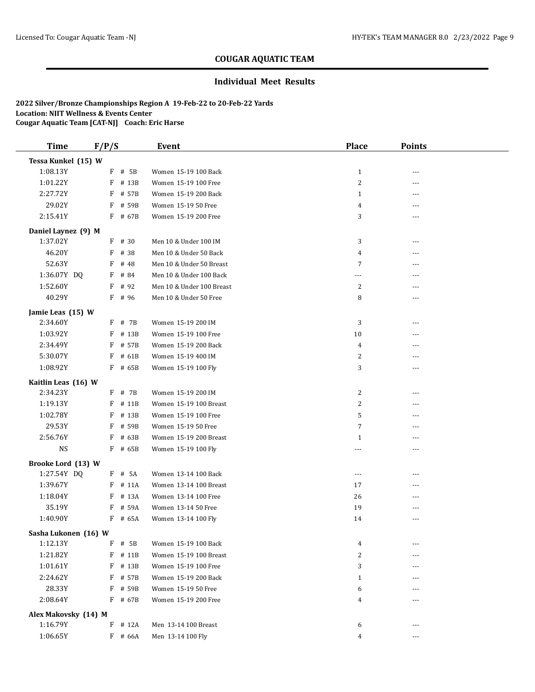### **Individual Meet Results**

| <b>Time</b>          | F/P/S |           | <b>Event</b>              | <b>Place</b>   | <b>Points</b> |  |
|----------------------|-------|-----------|---------------------------|----------------|---------------|--|
| Tessa Kunkel (15) W  |       |           |                           |                |               |  |
| 1:08.13Y             |       | F # 5B    | Women 15-19 100 Back      | $\mathbf{1}$   | ---           |  |
| 1:01.22Y             |       | F # 13B   | Women 15-19 100 Free      | 2              | ---           |  |
| 2:27.72Y             | F     | # 57B     | Women 15-19 200 Back      | $\mathbf{1}$   | ---           |  |
| 29.02Y               | F     | # 59B     | Women 15-19 50 Free       | 4              | ---           |  |
| 2:15.41Y             |       | F # 67B   | Women 15-19 200 Free      | 3              | $- - -$       |  |
| Daniel Laynez (9) M  |       |           |                           |                |               |  |
| 1:37.02Y             | F     | # 30      | Men 10 & Under 100 IM     | 3              | ---           |  |
| 46.20Y               | F     | # 38      | Men 10 & Under 50 Back    | 4              | ---           |  |
| 52.63Y               | F     | # 48      | Men 10 & Under 50 Breast  | 7              |               |  |
| 1:36.07Y DQ          | F     | # 84      | Men 10 & Under 100 Back   | $---$          | ---           |  |
| 1:52.60Y             | F     | # 92      | Men 10 & Under 100 Breast | 2              | ---           |  |
| 40.29Y               |       | F # 96    | Men 10 & Under 50 Free    | 8              | ---           |  |
| Jamie Leas (15) W    |       |           |                           |                |               |  |
| 2:34.60Y             |       | $F$ # 7B  | Women 15-19 200 IM        | 3              | ---           |  |
| 1:03.92Y             | F     | # 13B     | Women 15-19 100 Free      | 10             | ---           |  |
| 2:34.49Y             | F     | # 57B     | Women 15-19 200 Back      | $\overline{4}$ | ---           |  |
| 5:30.07Y             | F     | # 61B     | Women 15-19 400 IM        | 2              | ---           |  |
| 1:08.92Y             | F     | # 65B     | Women 15-19 100 Fly       | 3              | ---           |  |
| Kaitlin Leas (16) W  |       |           |                           |                |               |  |
| 2:34.23Y             |       | $F$ # 7B  | Women 15-19 200 IM        | $\overline{c}$ | ---           |  |
| 1:19.13Y             | F     | # 11B     | Women 15-19 100 Breast    | 2              | ---           |  |
| 1:02.78Y             | F     | # 13B     | Women 15-19 100 Free      | 5              | ---           |  |
| 29.53Y               | F     | # 59B     | Women 15-19 50 Free       | 7              | ---           |  |
| 2:56.76Y             | F     | # 63B     | Women 15-19 200 Breast    | $\mathbf{1}$   | ---           |  |
| <b>NS</b>            |       | F # 65B   | Women 15-19 100 Fly       | $\cdots$       | ---           |  |
| Brooke Lord (13) W   |       |           |                           |                |               |  |
| 1:27.54Y DQ          |       | $F$ # 5A  | Women 13-14 100 Back      | ---            | ---           |  |
| 1:39.67Y             |       | $F$ # 11A | Women 13-14 100 Breast    | 17             | ---           |  |
| 1:18.04Y             |       | F # 13A   | Women 13-14 100 Free      | 26             | ---           |  |
| 35.19Y               |       | $F$ # 59A | Women 13-14 50 Free       | 19             | ---           |  |
| 1:40.90Y             |       | F # 65A   | Women 13-14 100 Fly       | 14             | ---           |  |
| Sasha Lukonen (16) W |       |           |                           |                |               |  |
| 1:12.13Y             |       | $F$ # 5B  | Women 15-19 100 Back      | 4              | ---           |  |
| 1:21.82Y             |       | $F$ # 11B | Women 15-19 100 Breast    | 2              |               |  |
| 1:01.61Y             |       | $F$ # 13B | Women 15-19 100 Free      | 3              | ---           |  |
| 2:24.62Y             |       | F # 57B   | Women 15-19 200 Back      | $\mathbf{1}$   | ---           |  |
| 28.33Y               |       | $F$ # 59B | Women 15-19 50 Free       | 6              | ---           |  |
| 2:08.64Y             |       | F # 67B   | Women 15-19 200 Free      | 4              | ---           |  |
| Alex Makovsky (14) M |       |           |                           |                |               |  |
| 1:16.79Y             | F     | # 12A     | Men 13-14 100 Breast      | 6              | ---           |  |
| 1:06.65Y             |       | $F$ # 66A | Men 13-14 100 Fly         | 4              |               |  |
|                      |       |           |                           |                |               |  |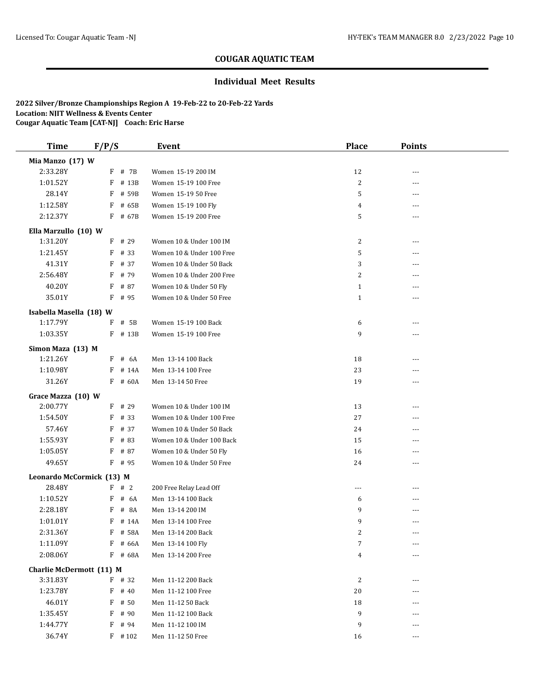### **Individual Meet Results**

| <b>Time</b>               | F/P/S                 | Event                                               | <b>Place</b>   | <b>Points</b> |  |
|---------------------------|-----------------------|-----------------------------------------------------|----------------|---------------|--|
| Mia Manzo (17) W          |                       |                                                     |                |               |  |
| 2:33.28Y                  | $F$ # 7B              | Women 15-19 200 IM                                  | 12             | ---           |  |
| 1:01.52Y                  | F # 13B               | Women 15-19 100 Free                                | $\overline{2}$ | ---           |  |
| 28.14Y                    | F # 59B               | Women 15-19 50 Free                                 | 5              | $---$         |  |
| 1:12.58Y                  | $F$ # 65B             | Women 15-19 100 Fly                                 | 4              | ---           |  |
| 2:12.37Y                  | F # 67B               | Women 15-19 200 Free                                | 5              | $---$         |  |
| Ella Marzullo (10) W      |                       |                                                     |                |               |  |
| 1:31.20Y                  | $F$ # 29              | Women 10 & Under 100 IM                             | 2              | ---           |  |
| 1:21.45Y                  | $F$ # 33              | Women 10 & Under 100 Free                           | 5              | ---           |  |
| 41.31Y                    | F # 37                | Women 10 & Under 50 Back                            | 3              |               |  |
| 2:56.48Y                  | # 79<br>F             | Women 10 & Under 200 Free                           | 2              | ---           |  |
| 40.20Y                    | F # 87                | Women 10 & Under 50 Fly                             | $\mathbf{1}$   | ---           |  |
| 35.01Y                    | $F$ # 95              | Women 10 & Under 50 Free                            | $\mathbf{1}$   | ---           |  |
| Isabella Masella (18) W   |                       |                                                     |                |               |  |
| 1:17.79Y                  | $F$ # 5B              | Women 15-19 100 Back                                | 6              | ---           |  |
| 1:03.35Y                  | $F$ # 13B             | Women 15-19 100 Free                                | 9              | $---$         |  |
| Simon Maza (13) M         |                       |                                                     |                |               |  |
| 1:21.26Y                  | $F$ # 6A              | Men 13-14 100 Back                                  | 18             |               |  |
| 1:10.98Y                  | $F$ # 14A             | Men 13-14 100 Free                                  | 23             |               |  |
| 31.26Y                    | F # 60A               | Men 13-14 50 Free                                   | 19             | $- - -$       |  |
|                           |                       |                                                     |                |               |  |
| Grace Mazza (10) W        |                       |                                                     |                |               |  |
| 2:00.77Y                  | $F$ # 29              | Women 10 & Under 100 IM                             | 13             | ---           |  |
| 1:54.50Y                  | $F$ # 33              | Women 10 & Under 100 Free                           | 27             | ---           |  |
| 57.46Y                    | F<br># 37             | Women 10 & Under 50 Back                            | 24             |               |  |
| 1:55.93Y<br>1:05.05Y      | # 83<br>F<br>$F$ # 87 | Women 10 & Under 100 Back                           | 15<br>16       | ---           |  |
| 49.65Y                    | $F$ # 95              | Women 10 & Under 50 Fly<br>Women 10 & Under 50 Free | 24             | ---<br>---    |  |
|                           |                       |                                                     |                |               |  |
| Leonardo McCormick (13) M |                       |                                                     |                |               |  |
| 28.48Y                    | F # 2                 | 200 Free Relay Lead Off                             | $- - -$        | ---           |  |
| 1:10.52Y                  | F<br># 6A             | Men 13-14 100 Back                                  | 6              |               |  |
| 2:28.18Y                  | $F$ # 8A              | Men 13-14 200 IM                                    | 9              | $---$         |  |
| 1:01.01Y                  | $F$ # 14A             | Men 13-14 100 Free                                  | 9              | ---           |  |
| 2:31.36Y                  | F # 58A               | Men 13-14 200 Back                                  | 2              |               |  |
| 1:11.09Y                  | F # 66A               | Men 13-14 100 Fly                                   | 7              | $---$         |  |
| 2:08.06Y                  | F # 68A               | Men 13-14 200 Free                                  | 4              |               |  |
| Charlie McDermott (11) M  |                       |                                                     |                |               |  |
| 3:31.83Y                  | $F$ # 32              | Men 11-12 200 Back                                  | 2              |               |  |
| 1:23.78Y                  | $F$ # 40              | Men 11-12 100 Free                                  | 20             |               |  |
| 46.01Y                    | F<br># 50             | Men 11-12 50 Back                                   | 18             |               |  |
| 1:35.45Y                  | F<br># 90             | Men 11-12 100 Back                                  | 9              |               |  |
| 1:44.77Y                  | $F$ # 94              | Men 11-12 100 IM                                    | 9              |               |  |
| 36.74Y                    | $F$ # 102             | Men 11-12 50 Free                                   | 16             | ---           |  |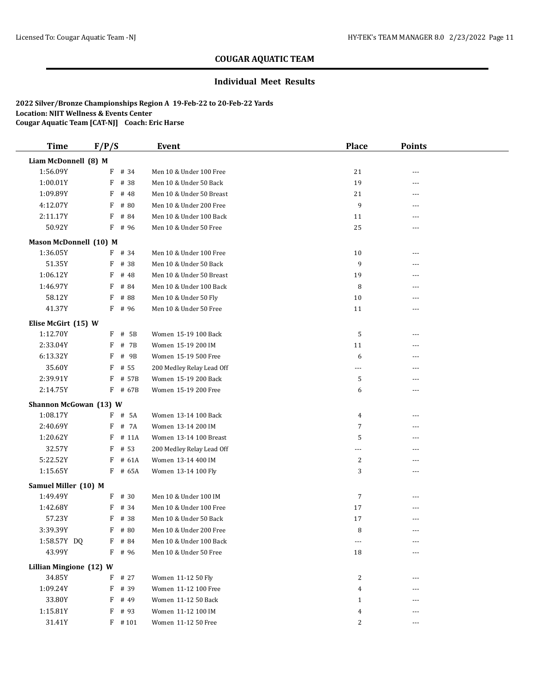### **Individual Meet Results**

| <b>Time</b>             | F/P/S |           | Event                     | <b>Place</b>   | <b>Points</b> |  |
|-------------------------|-------|-----------|---------------------------|----------------|---------------|--|
| Liam McDonnell (8) M    |       |           |                           |                |               |  |
| 1:56.09Y                |       | F # 34    | Men 10 & Under 100 Free   | 21             | ---           |  |
| 1:00.01Y                | F     | # 38      | Men 10 & Under 50 Back    | 19             | ---           |  |
| 1:09.89Y                | F     | # 48      | Men 10 & Under 50 Breast  | 21             | ---           |  |
| 4:12.07Y                | F     | # 80      | Men 10 & Under 200 Free   | 9              | ---           |  |
| 2:11.17Y                | F     | # 84      | Men 10 & Under 100 Back   | 11             | ---           |  |
| 50.92Y                  | F     | # 96      | Men 10 & Under 50 Free    | 25             | ---           |  |
| Mason McDonnell (10) M  |       |           |                           |                |               |  |
| 1:36.05Y                |       | $F$ # 34  | Men 10 & Under 100 Free   | 10             | ---           |  |
| 51.35Y                  | F     | # 38      | Men 10 & Under 50 Back    | 9              |               |  |
| 1:06.12Y                | F     | # 48      | Men 10 & Under 50 Breast  | 19             |               |  |
| 1:46.97Y                | F     | # 84      | Men 10 & Under 100 Back   | 8              | ---           |  |
| 58.12Y                  | F     | # 88      | Men 10 & Under 50 Fly     | 10             | ---           |  |
| 41.37Y                  | F     | # 96      | Men 10 & Under 50 Free    | 11             | ---           |  |
| Elise McGirt (15) W     |       |           |                           |                |               |  |
| 1:12.70Y                |       | $F$ # 5B  | Women 15-19 100 Back      | 5              | ---           |  |
| 2:33.04Y                | F     | # 7B      | Women 15-19 200 IM        | 11             | ---           |  |
| 6:13.32Y                | F     | # 9B      | Women 15-19 500 Free      | 6              |               |  |
| 35.60Y                  | F     | # 55      | 200 Medley Relay Lead Off | $\overline{a}$ | ---           |  |
| 2:39.91Y                |       | F # 57B   | Women 15-19 200 Back      | 5              | ---           |  |
| 2:14.75Y                |       | $F$ # 67B | Women 15-19 200 Free      | 6              | ---           |  |
| Shannon McGowan (13) W  |       |           |                           |                |               |  |
| 1:08.17Y                |       | $F$ # 5A  | Women 13-14 100 Back      | 4              | ---           |  |
| 2:40.69Y                |       | F # 7A    | Women 13-14 200 IM        | 7              | ---           |  |
| 1:20.62Y                | F     | # 11A     | Women 13-14 100 Breast    | 5              | ---           |  |
| 32.57Y                  | F     | # 53      | 200 Medley Relay Lead Off | ---            | ---           |  |
| 5:22.52Y                | F     | # 61A     | Women 13-14 400 IM        | 2              |               |  |
| 1:15.65Y                |       | F # 65A   | Women 13-14 100 Fly       | 3              | ---           |  |
| Samuel Miller (10) M    |       |           |                           |                |               |  |
| 1:49.49Y                |       | $F$ # 30  | Men 10 & Under 100 IM     | 7              |               |  |
| 1:42.68Y                | F     | # 34      | Men 10 & Under 100 Free   | 17             | ---           |  |
| 57.23Y                  | F     | # 38      | Men 10 & Under 50 Back    | 17             | ---           |  |
| 3:39.39Y                |       | $F$ # 80  | Men 10 & Under 200 Free   | 8              | $---$         |  |
| 1:58.57Y DQ             |       | $F$ # 84  | Men 10 & Under 100 Back   | ---            | ---           |  |
| 43.99Y                  |       | F # 96    | Men 10 & Under 50 Free    | 18             | ---           |  |
| Lillian Mingione (12) W |       |           |                           |                |               |  |
| 34.85Y                  |       | F # 27    | Women 11-12 50 Fly        | 2              |               |  |
| 1:09.24Y                |       | F # 39    | Women 11-12 100 Free      | 4              |               |  |
| 33.80Y                  | F     | # 49      | Women 11-12 50 Back       | $\mathbf{1}$   |               |  |
| 1:15.81Y                |       | F # 93    | Women 11-12 100 IM        | 4              | ---           |  |
| 31.41Y                  |       | $F$ #101  | Women 11-12 50 Free       | 2              | ---           |  |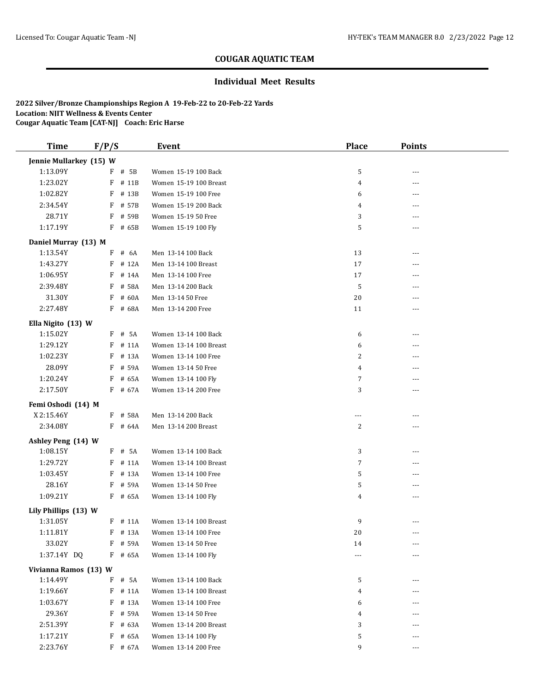### **Individual Meet Results**

| <b>Time</b>                    | F/P/S |                      | Event                  | <b>Place</b>   | <b>Points</b> |  |
|--------------------------------|-------|----------------------|------------------------|----------------|---------------|--|
| Jennie Mullarkey (15) W        |       |                      |                        |                |               |  |
| 1:13.09Y                       |       | $F$ # 5B             | Women 15-19 100 Back   | 5              |               |  |
| 1:23.02Y                       |       | F # 11B              | Women 15-19 100 Breast | $\overline{4}$ | ---           |  |
| 1:02.82Y                       | F     | # 13B                | Women 15-19 100 Free   | 6              | ---           |  |
| 2:34.54Y                       |       | $F$ # 57B            | Women 15-19 200 Back   | 4              | $---$         |  |
| 28.71Y                         |       | F # 59B              | Women 15-19 50 Free    | 3              | ---           |  |
| 1:17.19Y                       |       | F # 65B              | Women 15-19 100 Fly    | 5              | ---           |  |
| Daniel Murray (13) M           |       |                      |                        |                |               |  |
| 1:13.54Y                       |       | $F$ # 6A             | Men 13-14 100 Back     | 13             | ---           |  |
| 1:43.27Y                       |       | F # 12A              | Men 13-14 100 Breast   | 17             | ---           |  |
| 1:06.95Y                       |       | $F$ # 14A            | Men 13-14 100 Free     | 17             |               |  |
| 2:39.48Y                       | F     | # 58A                | Men 13-14 200 Back     | 5              | ---           |  |
| 31.30Y                         | F     | # 60A                | Men 13-14 50 Free      | 20             | ---           |  |
| 2:27.48Y                       |       | F # 68A              | Men 13-14 200 Free     | 11             | $---$         |  |
| Ella Nigito (13) W             |       |                      |                        |                |               |  |
| 1:15.02Y                       |       | F # 5A               | Women 13-14 100 Back   | 6              | ---           |  |
| 1:29.12Y                       | F     | # 11A                | Women 13-14 100 Breast | 6              | ---           |  |
| 1:02.23Y                       | F     | # 13A                | Women 13-14 100 Free   | 2              |               |  |
| 28.09Y                         | F     | # 59A                | Women 13-14 50 Free    | 4              |               |  |
| 1:20.24Y                       |       | F # 65A              | Women 13-14 100 Fly    | $\overline{7}$ |               |  |
| 2:17.50Y                       |       | F # 67A              | Women 13-14 200 Free   | 3              | $---$         |  |
| Femi Oshodi (14) M             |       |                      |                        |                |               |  |
| X 2:15.46Y                     |       | F # 58A              | Men 13-14 200 Back     | ---            | ---           |  |
| 2:34.08Y                       |       | F # 64A              | Men 13-14 200 Breast   | $\overline{c}$ | $---$         |  |
|                                |       |                      |                        |                |               |  |
| Ashley Peng (14) W<br>1:08.15Y |       | F # 5A               | Women 13-14 100 Back   | 3              | ---           |  |
| 1:29.72Y                       |       | $F$ # 11A            | Women 13-14 100 Breast | $\overline{7}$ |               |  |
| 1:03.45Y                       |       | F # 13A              | Women 13-14 100 Free   | 5              | $---$         |  |
| 28.16Y                         |       | F # 59A              | Women 13-14 50 Free    | 5              | ---           |  |
| 1:09.21Y                       |       | F # 65A              | Women 13-14 100 Fly    | 4              | $---$         |  |
|                                |       |                      |                        |                |               |  |
| Lily Phillips (13) W           |       |                      |                        |                |               |  |
| 1:31.05Y                       |       | $F$ # 11A            | Women 13-14 100 Breast | 9              | ---           |  |
| 1:11.81Y                       |       | $F$ # 13A            | Women 13-14 100 Free   | 20             | ---           |  |
| 33.02Y<br>1:37.14Y DQ          |       | $F$ # 59A<br>F # 65A | Women 13-14 50 Free    | 14             |               |  |
|                                |       |                      | Women 13-14 100 Fly    | $\cdots$       | $---$         |  |
| Vivianna Ramos (13) W          |       |                      |                        |                |               |  |
| 1:14.49Y                       |       | $F$ # 5A             | Women 13-14 100 Back   | 5              | ---           |  |
| 1:19.66Y                       |       | $F$ # 11A            | Women 13-14 100 Breast | 4              |               |  |
| 1:03.67Y                       | F     | # 13A                | Women 13-14 100 Free   | 6              |               |  |
| 29.36Y                         |       | F # 59A              | Women 13-14 50 Free    | 4              |               |  |
| 2:51.39Y                       |       | F # 63A              | Women 13-14 200 Breast | 3              |               |  |
| 1:17.21Y                       |       | $F$ # 65A            | Women 13-14 100 Fly    | 5              |               |  |
| 2:23.76Y                       |       | $F$ # 67A            | Women 13-14 200 Free   | 9              | ---           |  |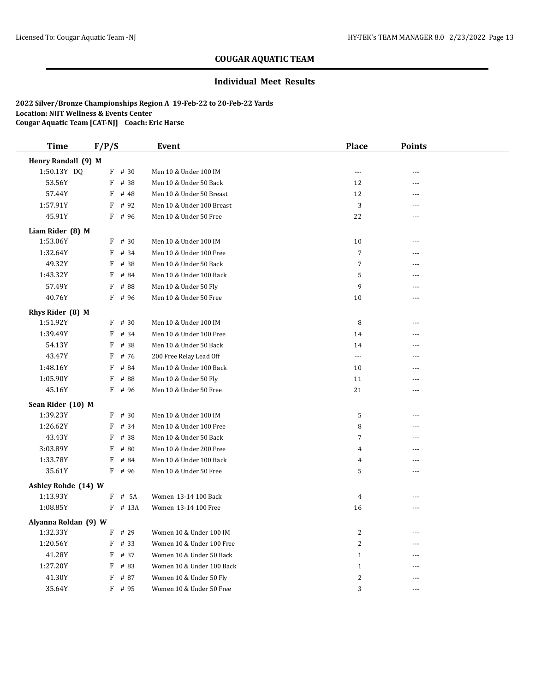### **Individual Meet Results**

| <b>Time</b>          | F/P/S     | Event                     | <b>Place</b>            | <b>Points</b>  |  |
|----------------------|-----------|---------------------------|-------------------------|----------------|--|
| Henry Randall (9) M  |           |                           |                         |                |  |
| 1:50.13Y DQ          | F # 30    | Men 10 & Under 100 IM     | ---                     | ---            |  |
| 53.56Y               | F<br># 38 | Men 10 & Under 50 Back    | 12                      |                |  |
| 57.44Y               | F<br># 48 | Men 10 & Under 50 Breast  | 12                      | ---            |  |
| 1:57.91Y             | F<br># 92 | Men 10 & Under 100 Breast | 3                       | ---            |  |
| 45.91Y               | F<br># 96 | Men 10 & Under 50 Free    | 22                      | ---            |  |
| Liam Rider (8) M     |           |                           |                         |                |  |
| 1:53.06Y             | $F$ # 30  | Men 10 & Under 100 IM     | 10                      | ---            |  |
| 1:32.64Y             | F<br># 34 | Men 10 & Under 100 Free   | $\overline{7}$          | ---            |  |
| 49.32Y               | F<br># 38 | Men 10 & Under 50 Back    | $\overline{7}$          | ---            |  |
| 1:43.32Y             | F<br># 84 | Men 10 & Under 100 Back   | 5                       | ---            |  |
| 57.49Y               | F<br># 88 | Men 10 & Under 50 Fly     | 9                       | ---            |  |
| 40.76Y               | F<br># 96 | Men 10 & Under 50 Free    | 10                      | $\overline{a}$ |  |
| Rhys Rider (8) M     |           |                           |                         |                |  |
| 1:51.92Y             | $F$ # 30  | Men 10 & Under 100 IM     | 8                       |                |  |
| 1:39.49Y             | F<br># 34 | Men 10 & Under 100 Free   | 14                      | ---            |  |
| 54.13Y               | F<br># 38 | Men 10 & Under 50 Back    | 14                      |                |  |
| 43.47Y               | F<br># 76 | 200 Free Relay Lead Off   | ---                     | ---            |  |
| 1:48.16Y             | F<br># 84 | Men 10 & Under 100 Back   | 10                      | ---            |  |
| 1:05.90Y             | # 88<br>F | Men 10 & Under 50 Fly     | 11                      | ---            |  |
| 45.16Y               | $F$ # 96  | Men 10 & Under 50 Free    | 21                      | $---$          |  |
| Sean Rider (10) M    |           |                           |                         |                |  |
| 1:39.23Y             | # 30<br>F | Men 10 & Under 100 IM     | 5                       | ---            |  |
| 1:26.62Y             | $F$ # 34  | Men 10 & Under 100 Free   | 8                       | ---            |  |
| 43.43Y               | # 38<br>F | Men 10 & Under 50 Back    | 7                       | ---            |  |
| 3:03.89Y             | F<br># 80 | Men 10 & Under 200 Free   | 4                       | ---            |  |
| 1:33.78Y             | F<br># 84 | Men 10 & Under 100 Back   | 4                       | ---            |  |
| 35.61Y               | $F$ # 96  | Men 10 & Under 50 Free    | 5                       | ---            |  |
| Ashley Rohde (14) W  |           |                           |                         |                |  |
| 1:13.93Y             | $F$ # 5A  | Women 13-14 100 Back      | $\overline{4}$          | ---            |  |
| 1:08.85Y             | F # 13A   | Women 13-14 100 Free      | 16                      | ---            |  |
| Alyanna Roldan (9) W |           |                           |                         |                |  |
| 1:32.33Y             | $F$ # 29  | Women 10 & Under 100 IM   | $\sqrt{2}$              | ---            |  |
| 1:20.56Y             | $F$ # 33  | Women 10 & Under 100 Free | 2                       | ---            |  |
| 41.28Y               | $F$ # 37  | Women 10 & Under 50 Back  | $\mathbf{1}$            | ---            |  |
| 1:27.20Y             | F<br># 83 | Women 10 & Under 100 Back | $\mathbf{1}$            | ---            |  |
| 41.30Y               | F<br># 87 | Women 10 & Under 50 Fly   | $\overline{\mathbf{c}}$ |                |  |
| 35.64Y               | $F$ # 95  | Women 10 & Under 50 Free  | 3                       | ---            |  |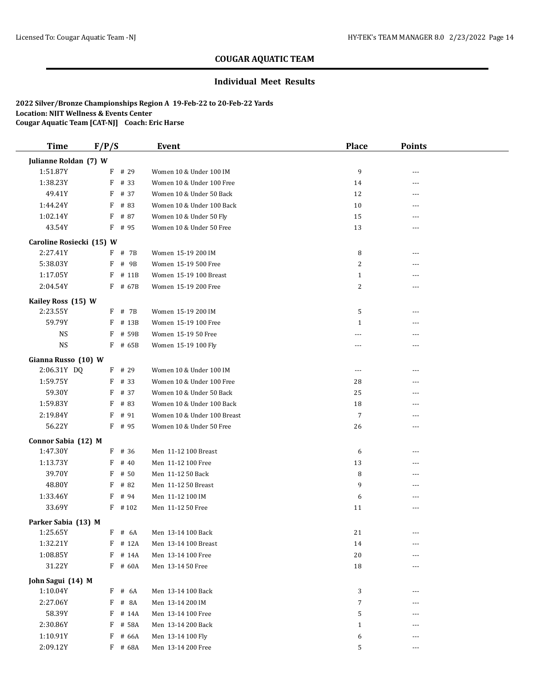### **Individual Meet Results**

| <b>Time</b>              | F/P/S |           | Event                       | <b>Place</b>   | <b>Points</b> |  |
|--------------------------|-------|-----------|-----------------------------|----------------|---------------|--|
| Julianne Roldan (7) W    |       |           |                             |                |               |  |
| 1:51.87Y                 |       | F # 29    | Women 10 & Under 100 IM     | 9              | ---           |  |
| 1:38.23Y                 |       | $F$ # 33  | Women 10 & Under 100 Free   | 14             | ---           |  |
| 49.41Y                   |       | F # 37    | Women 10 & Under 50 Back    | 12             | ---           |  |
| 1:44.24Y                 |       | $F$ # 83  | Women 10 & Under 100 Back   | 10             | $---$         |  |
| 1:02.14Y                 |       | F # 87    | Women 10 & Under 50 Fly     | 15             | ---           |  |
| 43.54Y                   |       | $F$ # 95  | Women 10 & Under 50 Free    | 13             |               |  |
| Caroline Rosiecki (15) W |       |           |                             |                |               |  |
| 2:27.41Y                 |       | $F$ # 7B  | Women 15-19 200 IM          | 8              |               |  |
| 5:38.03Y                 | F     | # 9B      | Women 15-19 500 Free        | 2              | ---           |  |
| 1:17.05Y                 |       | $F$ # 11B | Women 15-19 100 Breast      | $\mathbf{1}$   | ---           |  |
| 2:04.54Y                 |       | $F$ # 67B | Women 15-19 200 Free        | 2              | $---$         |  |
| Kailey Ross (15) W       |       |           |                             |                |               |  |
| 2:23.55Y                 |       | $F$ # 7B  | Women 15-19 200 IM          | 5              | $---$         |  |
| 59.79Y                   |       | $F$ # 13B | Women 15-19 100 Free        | $\mathbf{1}$   |               |  |
| <b>NS</b>                | F     | # 59B     | Women 15-19 50 Free         | ---            | ---           |  |
| <b>NS</b>                |       | $F$ # 65B | Women 15-19 100 Fly         | ---            | ---           |  |
|                          |       |           |                             |                |               |  |
| Gianna Russo (10) W      |       |           |                             |                |               |  |
| 2:06.31Y DQ              |       | $F$ # 29  | Women 10 & Under 100 IM     | $\cdots$       | ---           |  |
| 1:59.75Y                 | F     | # 33      | Women 10 & Under 100 Free   | 28             | ---           |  |
| 59.30Y                   | F     | # 37      | Women 10 & Under 50 Back    | 25             | $---$         |  |
| 1:59.83Y                 |       | $F$ # 83  | Women 10 & Under 100 Back   | 18             |               |  |
| 2:19.84Y                 |       | $F$ # 91  | Women 10 & Under 100 Breast | $\overline{7}$ | $---$         |  |
| 56.22Y                   |       | F # 95    | Women 10 & Under 50 Free    | 26             | ---           |  |
| Connor Sabia (12) M      |       |           |                             |                |               |  |
| 1:47.30Y                 |       | $F$ # 36  | Men 11-12 100 Breast        | 6              | ---           |  |
| 1:13.73Y                 | F     | # 40      | Men 11-12 100 Free          | 13             |               |  |
| 39.70Y                   | F     | # 50      | Men 11-12 50 Back           | 8              | $---$         |  |
| 48.80Y                   | F     | # 82      | Men 11-12 50 Breast         | 9              | ---           |  |
| 1:33.46Y                 | F     | # 94      | Men 11-12 100 IM            | 6              | $---$         |  |
| 33.69Y                   |       | $F$ #102  | Men 11-12 50 Free           | 11             | ---           |  |
| Parker Sabia (13) M      |       |           |                             |                |               |  |
| 1:25.65Y                 |       | $F$ # 6A  | Men 13-14 100 Back          | 21             |               |  |
| 1:32.21Y                 |       | $F$ # 12A | Men 13-14 100 Breast        | 14             | ---           |  |
| 1:08.85Y                 |       | F # 14A   | Men 13-14 100 Free          | $20\,$         | ---           |  |
| 31.22Y                   |       | F # 60A   | Men 13-14 50 Free           | 18             | ---           |  |
| John Sagui (14) M        |       |           |                             |                |               |  |
| 1:10.04Y                 | F     | # 6A      | Men 13-14 100 Back          | 3              | ---           |  |
| 2:27.06Y                 | F     | # 8A      | Men 13-14 200 IM            | 7              |               |  |
| 58.39Y                   |       | $F$ # 14A | Men 13-14 100 Free          | 5              |               |  |
| 2:30.86Y                 |       | F # 58A   | Men 13-14 200 Back          | $\mathbf{1}$   |               |  |
| 1:10.91Y                 |       | $F$ # 66A | Men 13-14 100 Fly           | 6              | ---           |  |
| 2:09.12Y                 |       | $F$ # 68A | Men 13-14 200 Free          | 5              | ---           |  |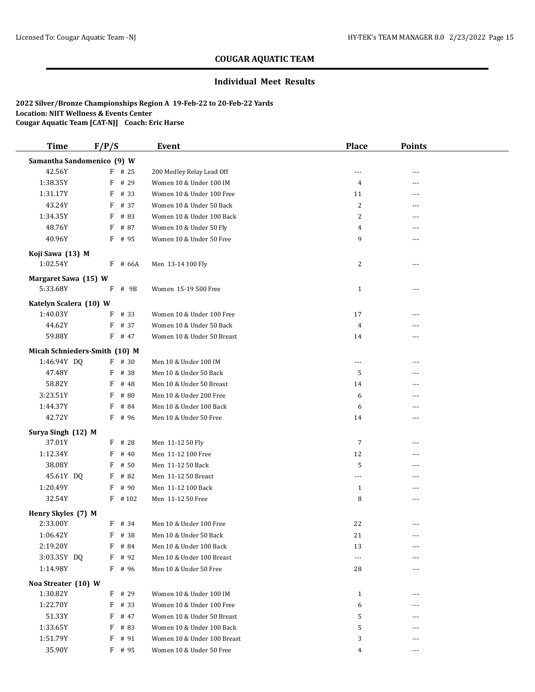#### **Individual Meet Results**

| <b>Time</b>                        | F/P/S     | Event                       | <b>Place</b>   | <b>Points</b> |  |
|------------------------------------|-----------|-----------------------------|----------------|---------------|--|
| Samantha Sandomenico (9) W         |           |                             |                |               |  |
| 42.56Y                             | $F$ # 25  | 200 Medley Relay Lead Off   | ---            | ---           |  |
| 1:38.35Y                           | F # 29    | Women 10 & Under 100 IM     | 4              | ---           |  |
| 1:31.17Y                           | $F$ # 33  | Women 10 & Under 100 Free   | 11             | ---           |  |
| 43.24Y                             | $F$ # 37  | Women 10 & Under 50 Back    | $\overline{2}$ | $---$         |  |
| 1:34.35Y                           | F<br># 83 | Women 10 & Under 100 Back   | 2              | ---           |  |
| 48.76Y                             | F<br># 87 | Women 10 & Under 50 Fly     | 4              |               |  |
| 40.96Y                             | $F$ # 95  | Women 10 & Under 50 Free    | 9              | ---           |  |
| Koji Sawa (13) M                   |           |                             |                |               |  |
| 1:02.54Y                           | $F$ # 66A | Men 13-14 100 Fly           | 2              | ---           |  |
| Margaret Sawa (15) W               |           |                             |                |               |  |
| 5:33.68Y                           | F<br># 9B | Women 15-19 500 Free        | $\mathbf{1}$   | $---$         |  |
|                                    |           |                             |                |               |  |
| Katelyn Scalera (10) W<br>1:40.03Y | # 33<br>F | Women 10 & Under 100 Free   | 17             | $- - -$       |  |
| 44.62Y                             | F # 37    | Women 10 & Under 50 Back    | $\overline{4}$ | ---           |  |
| 59.88Y                             | $F$ # 47  | Women 10 & Under 50 Breast  | 14             | ---           |  |
|                                    |           |                             |                |               |  |
| Micah Schnieders-Smith (10) M      |           |                             |                |               |  |
| 1:46.94Y DQ                        | $F$ # 30  | Men 10 & Under 100 IM       | $\cdots$       | ---           |  |
| 47.48Y                             | F # 38    | Men 10 & Under 50 Back      | 5              | ---           |  |
| 58.82Y                             | F<br># 48 | Men 10 & Under 50 Breast    | 14             | $---$         |  |
| 3:23.51Y                           | F<br># 80 | Men 10 & Under 200 Free     | 6              | ---           |  |
| 1:44.37Y                           | # 84<br>F | Men 10 & Under 100 Back     | 6              |               |  |
| 42.72Y                             | F # 96    | Men 10 & Under 50 Free      | 14             | $---$         |  |
| Surya Singh (12) M                 |           |                             |                |               |  |
| 37.01Y                             | $F$ # 28  | Men 11-12 50 Fly            | $\overline{7}$ | ---           |  |
| 1:12.34Y                           | # 40<br>F | Men 11-12 100 Free          | 12             | ---           |  |
| 38.08Y                             | # 50<br>F | Men 11-12 50 Back           | 5              | ---           |  |
| 45.61Y DQ                          | # 82<br>F | Men 11-12 50 Breast         | ---            | $---$         |  |
| 1:20.49Y                           | $F$ # 90  | Men 11-12 100 Back          | $\mathbf{1}$   | ---           |  |
| 32.54Y                             | $F$ # 102 | Men 11-12 50 Free           | 8              | $---$         |  |
| Henry Skyles (7) M                 |           |                             |                |               |  |
| 2:33.00Y                           | $F$ # 34  | Men 10 & Under 100 Free     | 22             | $- - -$       |  |
| 1:06.42Y                           | F # 38    | Men 10 & Under 50 Back      | 21             | ---           |  |
| 2:19.20Y                           | F<br># 84 | Men 10 & Under 100 Back     | 13             |               |  |
| 3:03.35Y DQ                        | F<br># 92 | Men 10 & Under 100 Breast   | $---$          |               |  |
| 1:14.98Y                           | $F$ # 96  | Men 10 & Under 50 Free      | 28             | ---           |  |
| Noa Streater (10) W                |           |                             |                |               |  |
| 1:30.82Y                           | $F$ # 29  | Women 10 & Under 100 IM     | $\mathbf{1}$   |               |  |
| 1:22.70Y                           | $F$ # 33  | Women 10 & Under 100 Free   | 6              | ---           |  |
| 51.33Y                             | F<br># 47 | Women 10 & Under 50 Breast  | 5              |               |  |
| 1:33.65Y                           | F<br># 83 | Women 10 & Under 100 Back   | 5              | ---           |  |
| 1:51.79Y                           | # 91<br>F | Women 10 & Under 100 Breast | 3              | ---           |  |
| 35.90Y                             | F # 95    | Women 10 & Under 50 Free    | 4              | ---           |  |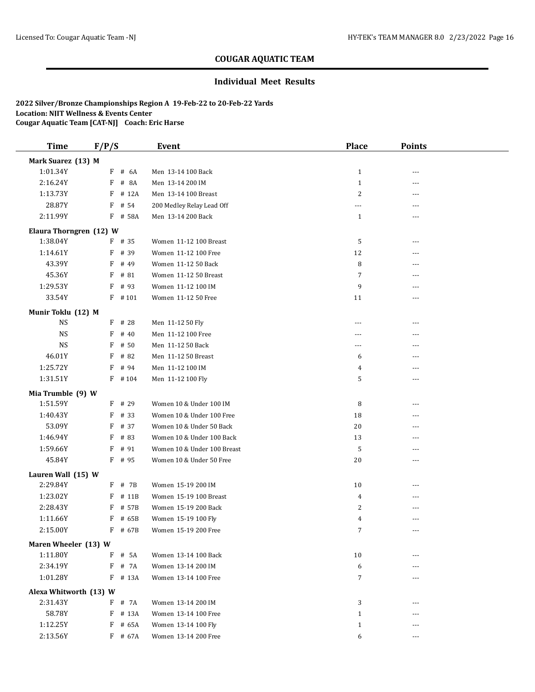### **Individual Meet Results**

| <b>Time</b>             | F/P/S             | Event                                                    | <b>Place</b>   | <b>Points</b>  |  |
|-------------------------|-------------------|----------------------------------------------------------|----------------|----------------|--|
| Mark Suarez (13) M      |                   |                                                          |                |                |  |
| 1:01.34Y                | $F$ # 6A          | Men 13-14 100 Back                                       | $\mathbf{1}$   | ---            |  |
| 2:16.24Y                | # 8A<br>F         | Men 13-14 200 IM                                         | $\mathbf{1}$   | ---            |  |
| 1:13.73Y                | F<br># 12A        | Men 13-14 100 Breast                                     | $\overline{c}$ | ---            |  |
| 28.87Y                  | # 54<br>F         | 200 Medley Relay Lead Off                                | ---            | ---            |  |
| 2:11.99Y                | F # 58A           | Men 13-14 200 Back                                       | $\mathbf{1}$   | ---            |  |
| Elaura Thorngren (12) W |                   |                                                          |                |                |  |
| 1:38.04Y                | $F$ # 35          | Women 11-12 100 Breast                                   | 5              | ---            |  |
| 1:14.61Y                | F<br># 39         | Women 11-12 100 Free                                     | 12             | ---            |  |
| 43.39Y                  | F<br># 49         | Women 11-12 50 Back                                      | 8              |                |  |
| 45.36Y                  | $F$ # 81          | Women 11-12 50 Breast                                    | $\overline{7}$ | $---$          |  |
| 1:29.53Y                | F<br># 93         | Women 11-12 100 IM                                       | 9              | ---            |  |
| 33.54Y                  | $F$ # 101         | Women 11-12 50 Free                                      | 11             | ---            |  |
| Munir Toklu (12) M      |                   |                                                          |                |                |  |
| <b>NS</b>               | $F$ # 28          | Men 11-12 50 Fly                                         | ---            | ---            |  |
| <b>NS</b>               | F<br># 40         | Men 11-12 100 Free                                       | ---            | $- - -$        |  |
| <b>NS</b>               | # 50<br>F         | Men 11-12 50 Back                                        | ---            | ---            |  |
| 46.01Y                  | F<br># 82         | Men 11-12 50 Breast                                      | 6              | $---$          |  |
| 1:25.72Y                | # 94<br>F         | Men 11-12 100 IM                                         | 4              | ---            |  |
| 1:31.51Y                | $F$ #104          | Men 11-12 100 Fly                                        | 5              | $---$          |  |
|                         |                   |                                                          |                |                |  |
| Mia Trumble (9) W       |                   |                                                          |                |                |  |
| 1:51.59Y                | $F$ # 29<br># 33  | Women 10 & Under 100 IM<br>Women 10 & Under 100 Free     | 8<br>18        | ---            |  |
| 1:40.43Y                | F                 |                                                          |                | $- - -$        |  |
| 53.09Y                  | F<br># 37         | Women 10 & Under 50 Back                                 | 20             | ---            |  |
| 1:46.94Y<br>1:59.66Y    | F<br># 83<br># 91 | Women 10 & Under 100 Back<br>Women 10 & Under 100 Breast | 13<br>5        | ---            |  |
| 45.84Y                  | F<br>F # 95       |                                                          |                | ---<br>$- - -$ |  |
|                         |                   | Women 10 & Under 50 Free                                 | 20             |                |  |
| Lauren Wall (15) W      |                   |                                                          |                |                |  |
| 2:29.84Y                | $F$ # 7B          | Women 15-19 200 IM                                       | 10             | ---            |  |
| 1:23.02Y                | # 11B<br>F        | Women 15-19 100 Breast                                   | $\overline{4}$ | $---$          |  |
| 2:28.43Y                | F<br># 57B        | Women 15-19 200 Back                                     | 2              | ---            |  |
| 1:11.66Y                | F<br># 65B        | Women 15-19 100 Fly                                      | 4              | $---$          |  |
| 2:15.00Y                | F # 67B           | Women 15-19 200 Free                                     | 7              | $\overline{a}$ |  |
| Maren Wheeler (13) W    |                   |                                                          |                |                |  |
| 1:11.80Y                | F<br># 5A         | Women 13-14 100 Back                                     | 10             | ---            |  |
| 2:34.19Y                | F<br># 7A         | Women 13-14 200 IM                                       | 6              |                |  |
| 1:01.28Y                | F # 13A           | Women 13-14 100 Free                                     | 7              | $---$          |  |
| Alexa Whitworth (13) W  |                   |                                                          |                |                |  |
| 2:31.43Y                | # 7A<br>F         | Women 13-14 200 IM                                       | 3              | ---            |  |
| 58.78Y                  | F<br># 13A        | Women 13-14 100 Free                                     | $\mathbf{1}$   | ---            |  |
| 1:12.25Y                | F<br># 65A        | Women 13-14 100 Fly                                      | $\mathbf{1}$   | $---$          |  |
| 2:13.56Y                | F # 67A           | Women 13-14 200 Free                                     | 6              | ---            |  |